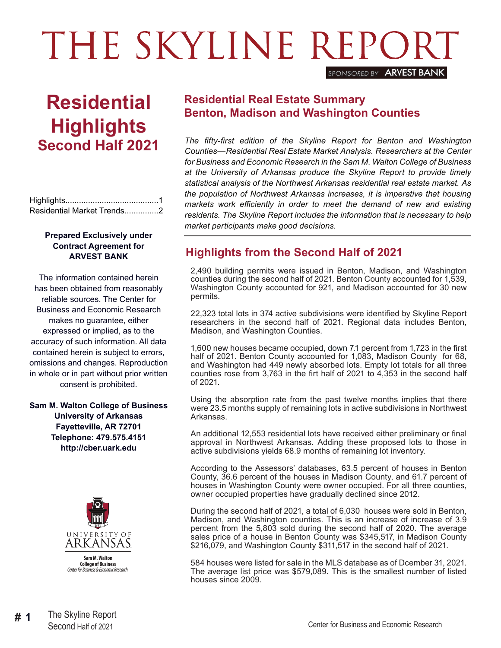# THE SKYLINE REPORT *SPONSORED BY* ARVEST BANK

**Residential Highlights Second Half 2021**

Highlights.........................................1 Residential Market Trends...............2

### **Prepared Exclusively under Contract Agreement for ARVEST BANK**

The information contained herein has been obtained from reasonably reliable sources. The Center for Business and Economic Research makes no guarantee, either expressed or implied, as to the accuracy of such information. All data contained herein is subject to errors, omissions and changes. Reproduction in whole or in part without prior written consent is prohibited.

**Sam M. Walton College of Business University of Arkansas Fayetteville, AR 72701 Telephone: 479.575.4151 http://cber.uark.edu**



### **Residential Real Estate Summary Benton, Madison and Washington Counties**

*The fifty-first edition of the Skyline Report for Benton and Washington Counties—Residential Real Estate Market Analysis. Researchers at the Center for Business and Economic Research in the Sam M. Walton College of Business at the University of Arkansas produce the Skyline Report to provide timely statistical analysis of the Northwest Arkansas residential real estate market. As the population of Northwest Arkansas increases, it is imperative that housing markets work efficiently in order to meet the demand of new and existing residents. The Skyline Report includes the information that is necessary to help market participants make good decisions.*

## **Highlights from the Second Half of 2021**

2,490 building permits were issued in Benton, Madison, and Washington counties during the second half of 2021. Benton County accounted for 1,539, Washington County accounted for 921, and Madison accounted for 30 new permits.

22,323 total lots in 374 active subdivisions were identified by Skyline Report researchers in the second half of 2021. Regional data includes Benton, Madison, and Washington Counties.

1,600 new houses became occupied, down 7.1 percent from 1,723 in the first half of 2021. Benton County accounted for 1,083, Madison County for 68, and Washington had 449 newly absorbed lots. Empty lot totals for all three counties rose from 3,763 in the firt half of 2021 to 4,353 in the second half of 2021.

Using the absorption rate from the past twelve months implies that there were 23.5 months supply of remaining lots in active subdivisions in Northwest Arkansas.

An additional 12,553 residential lots have received either preliminary or final approval in Northwest Arkansas. Adding these proposed lots to those in active subdivisions yields 68.9 months of remaining lot inventory.

According to the Assessors' databases, 63.5 percent of houses in Benton County, 36.6 percent of the houses in Madison County, and 61.7 percent of houses in Washington County were owner occupied. For all three counties, owner occupied properties have gradually declined since 2012.

During the second half of 2021, a total of 6,030 houses were sold in Benton, Madison, and Washington counties. This is an increase of increase of 3.9 percent from the 5,803 sold during the second half of 2020. The average sales price of a house in Benton County was \$345,517, in Madison County \$216,079, and Washington County \$311,517 in the second half of 2021.

584 houses were listed for sale in the MLS database as of Dcember 31, 2021. The average list price was \$579,089. This is the smallest number of listed houses since 2009.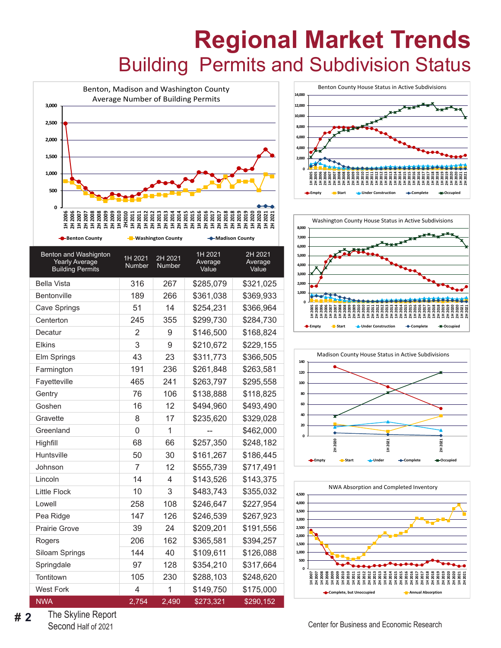## **Regional Market Trends** Building Permits and Subdivision Status











The Skyline Report **# 2** The Skyline Report<br>
Second Half of 2021 Center for Business and Economic Research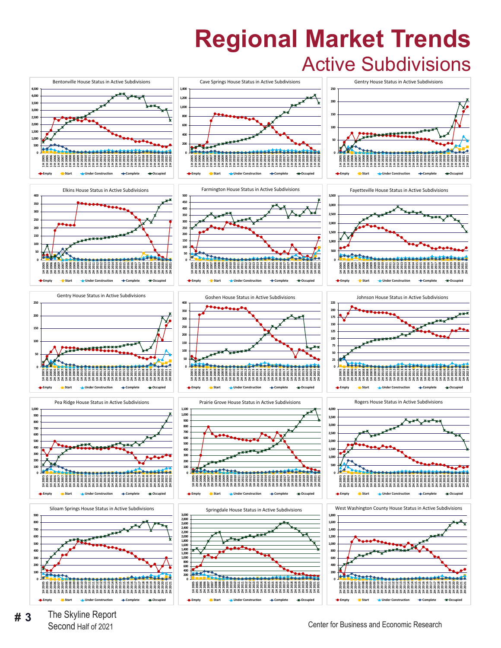## **Regional Market Trends** Active Subdivisions



The Skyline Report **Fact 3** The Skyline Report<br>Second Half of 2021 Center for Business and Economic Research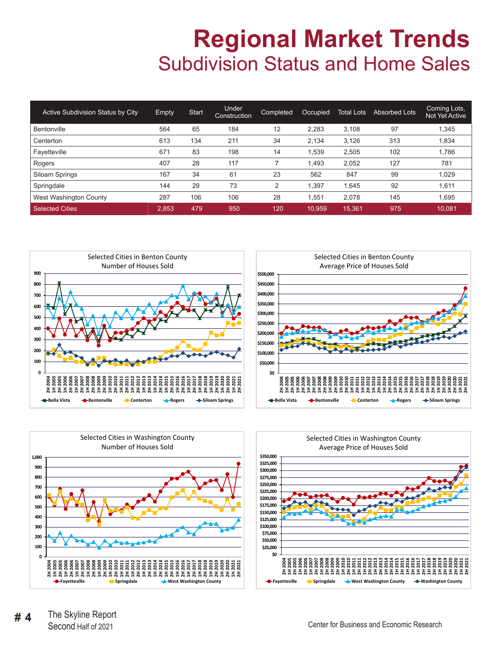## **Regional Market Trends** Subdivision Status and Home Sales

| Active Subdivision Status by City | Empty | <b>Start</b> | Under<br>Construction | <b>Completed</b> | Occupied | Total Lots | <b>Absorbed Lots</b> | Coming Lots,<br>Not Yet Active |
|-----------------------------------|-------|--------------|-----------------------|------------------|----------|------------|----------------------|--------------------------------|
| Bentonville                       | 564   | 65           | 184                   | 12               | 2,283    | 3,108      | 97                   | 1,345                          |
| Centerton                         | 613   | 134          | 211                   | 34               | 2.134    | 3.126      | 313                  | 1.834                          |
| Fayetteville                      | 671   | 83           | 198                   | 14               | .539     | 2,505      | 102                  | 1,786                          |
| Rogers                            | 407   | 28           | 117                   |                  | ,493     | 2,052      | 127                  | 781                            |
| Siloam Springs                    | 167   | 34           | 61                    | 23               | 562      | 847        | 99                   | 1.029                          |
| Springdale                        | 144   | 29           | 73                    | 2                | ,397     | 1,645      | 92                   | 1,611                          |
| West Washington County            | 287   | 106          | 106                   | 28               | .551     | 2,078      | 145                  | 1.695                          |
| <b>Selected Cities</b>            | 2,853 | 479          | 950                   | 120              | 10.959   | 15,361     | 975                  | 10.081                         |







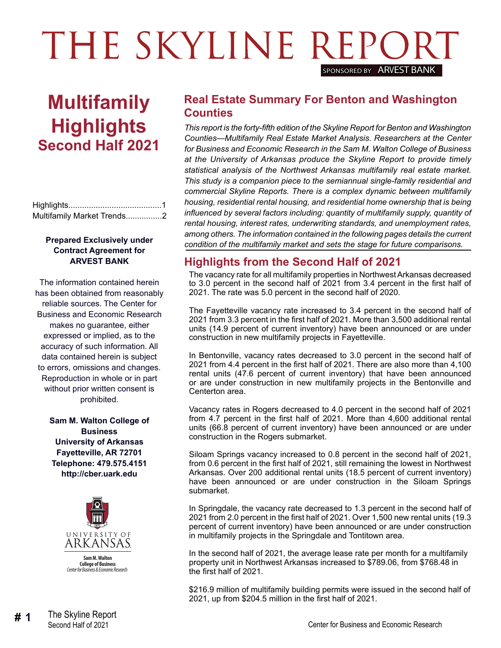## THE SKYLINE REPOR SPONSORED BY **ARVEST BANK**

## **Multifamily Highlights Second Half 2021**

| Multifamily Market Trends2 |  |
|----------------------------|--|

### **Prepared Exclusively under Contract Agreement for ARVEST BANK**

The information contained herein has been obtained from reasonably reliable sources. The Center for Business and Economic Research makes no guarantee, either expressed or implied, as to the accuracy of such information. All data contained herein is subject to errors, omissions and changes. Reproduction in whole or in part without prior written consent is prohibited.

**Sam M. Walton College of Business University of Arkansas Fayetteville, AR 72701 Telephone: 479.575.4151 http://cber.uark.edu**



### **Real Estate Summary For Benton and Washington Counties**

*This report is the forty-fifth edition of the Skyline Report for Benton and Washington Counties—Multifamily Real Estate Market Analysis. Researchers at the Center for Business and Economic Research in the Sam M. Walton College of Business at the University of Arkansas produce the Skyline Report to provide timely statistical analysis of the Northwest Arkansas multifamily real estate market. This study is a companion piece to the semiannual single-family residential and commercial Skyline Reports. There is a complex dynamic between multifamily housing, residential rental housing, and residential home ownership that is being influenced by several factors including: quantity of multifamily supply, quantity of rental housing, interest rates, underwriting standards, and unemployment rates, among others. The information contained in the following pages details the current condition of the multifamily market and sets the stage for future comparisons.*

### **Highlights from the Second Half of 2021**

The vacancy rate for all multifamily properties in Northwest Arkansas decreased to 3.0 percent in the second half of 2021 from 3.4 percent in the first half of 2021. The rate was 5.0 percent in the second half of 2020.

The Fayetteville vacancy rate increased to 3.4 percent in the second half of 2021 from 3.3 percent in the first half of 2021. More than 3,500 additional rental units (14.9 percent of current inventory) have been announced or are under construction in new multifamily projects in Fayetteville.

In Bentonville, vacancy rates decreased to 3.0 percent in the second half of 2021 from 4.4 percent in the first half of 2021. There are also more than 4,100 rental units (47.6 percent of current inventory) that have been announced or are under construction in new multifamily projects in the Bentonville and Centerton area.

Vacancy rates in Rogers decreased to 4.0 percent in the second half of 2021 from 4.7 percent in the first half of 2021. More than 4,600 additional rental units (66.8 percent of current inventory) have been announced or are under construction in the Rogers submarket.

Siloam Springs vacancy increased to 0.8 percent in the second half of 2021, from 0.6 percent in the first half of 2021, still remaining the lowest in Northwest Arkansas. Over 200 additional rental units (18.5 percent of current inventory) have been announced or are under construction in the Siloam Springs submarket.

In Springdale, the vacancy rate decreased to 1.3 percent in the second half of 2021 from 2.0 percent in the first half of 2021. Over 1,500 new rental units (19.3 percent of current inventory) have been announced or are under construction in multifamily projects in the Springdale and Tontitown area.

In the second half of 2021, the average lease rate per month for a multifamily property unit in Northwest Arkansas increased to \$789.06, from \$768.48 in the first half of 2021.

\$216.9 million of multifamily building permits were issued in the second half of 2021, up from \$204.5 million in the first half of 2021.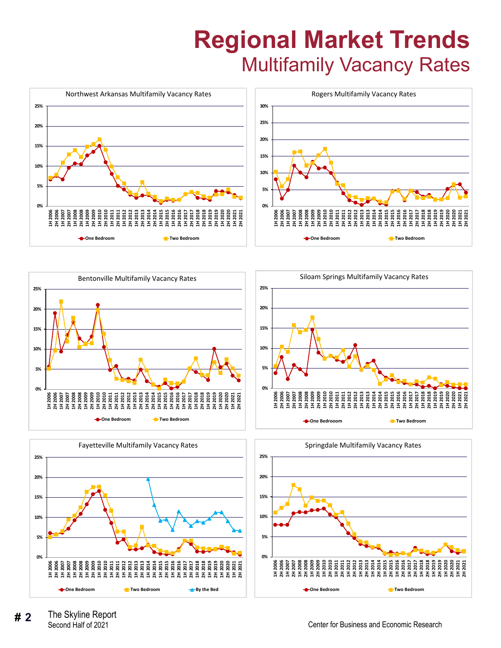# **Regional Market Trends** Multifamily Vacancy Rates







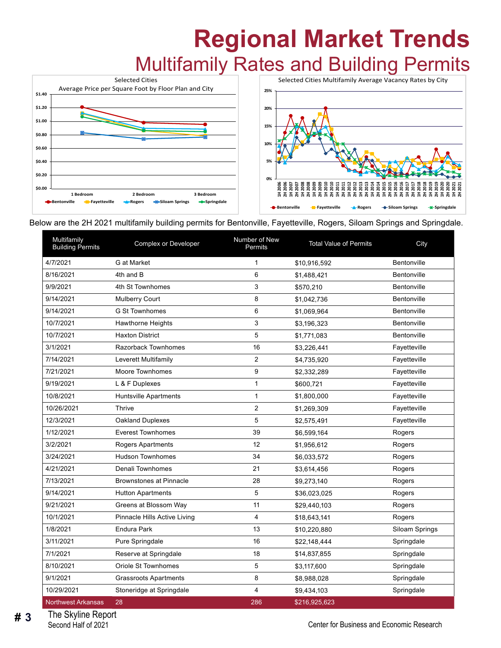## **Regional Market Trends** Multifamily Rates and Building Permits



Below are the 2H 2021 multifamily building permits for Bentonville, Fayetteville, Rogers, Siloam Springs and Springdale.

| Multifamily<br><b>Building Permits</b> | Complex or Developer           | Number of New<br>Permits | <b>Total Value of Permits</b> | City           |
|----------------------------------------|--------------------------------|--------------------------|-------------------------------|----------------|
| 4/7/2021                               | G at Market                    | $\mathbf 1$              | \$10,916,592                  | Bentonville    |
| 8/16/2021                              | 4th and B                      | 6                        | \$1,488,421                   | Bentonville    |
| 9/9/2021                               | 4th St Townhomes               | 3                        | \$570,210                     | Bentonville    |
| 9/14/2021                              | <b>Mulberry Court</b>          | 8                        | \$1,042,736                   | Bentonville    |
| 9/14/2021                              | <b>G St Townhomes</b>          | 6                        | \$1,069,964                   | Bentonville    |
| 10/7/2021                              | Hawthorne Heights              | 3                        | \$3,196,323                   | Bentonville    |
| 10/7/2021                              | <b>Haxton District</b>         | 5                        | \$1,771,083                   | Bentonville    |
| 3/1/2021                               | Razorback Townhomes            | 16                       | \$3,226,441                   | Fayetteville   |
| 7/14/2021                              | Leverett Multifamily           | $\overline{2}$           | \$4,735,920                   | Fayetteville   |
| 7/21/2021                              | Moore Townhomes                | 9                        | \$2,332,289                   | Fayetteville   |
| 9/19/2021                              | L & F Duplexes                 | $\mathbf{1}$             | \$600,721                     | Fayetteville   |
| 10/8/2021                              | <b>Huntsville Apartments</b>   | $\mathbf{1}$             | \$1,800,000                   | Fayetteville   |
| 10/26/2021                             | <b>Thrive</b>                  | 2                        | \$1,269,309                   | Fayetteville   |
| 12/3/2021                              | Oakland Duplexes               | 5                        | \$2,575,491                   | Fayetteville   |
| 1/12/2021                              | <b>Everest Townhomes</b>       | 39                       | \$6,599,164                   | Rogers         |
| 3/2/2021                               | <b>Rogers Apartments</b>       | 12                       | \$1,956,612                   | Rogers         |
| 3/24/2021                              | <b>Hudson Townhomes</b>        | 34                       | \$6,033,572                   | Rogers         |
| 4/21/2021                              | Denali Townhomes               | 21                       | \$3,614,456                   | Rogers         |
| 7/13/2021                              | <b>Brownstones at Pinnacle</b> | 28                       | \$9,273,140                   | Rogers         |
| 9/14/2021                              | <b>Hutton Apartments</b>       | 5                        | \$36,023,025                  | Rogers         |
| 9/21/2021                              | Greens at Blossom Way          | 11                       | \$29,440,103                  | Rogers         |
| 10/1/2021                              | Pinnacle Hills Active Living   | 4                        | \$18,643,141                  | Rogers         |
| 1/8/2021                               | <b>Endura Park</b>             | 13                       | \$10,220,880                  | Siloam Springs |
| 3/11/2021                              | Pure Springdale                | 16                       | \$22,148,444                  | Springdale     |
| 7/1/2021                               | Reserve at Springdale          | 18                       | \$14,837,855                  | Springdale     |
| 8/10/2021                              | Oriole St Townhomes            | 5                        | \$3,117,600                   | Springdale     |
| 9/1/2021                               | <b>Grassroots Apartments</b>   | 8                        | \$8,988,028                   | Springdale     |
| 10/29/2021                             | Stoneridge at Springdale       | 4                        | \$9,434,103                   | Springdale     |
| <b>Northwest Arkansas</b>              | 28                             | 286                      | \$216,925,623                 |                |